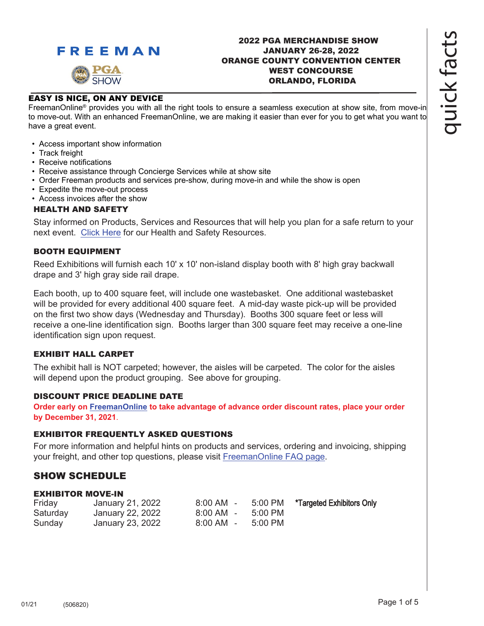

### 2022 PGA MERCHANDISE SHOW JANUARY 26-28, 2022 ORANGE COUNTY CONVENTION CENTER WEST CONCOURSE ORLANDO, FLORIDA

### EASY IS NICE, ON ANY DEVICE

FreemanOnline® provides you with all the right tools to ensure a seamless execution at show site, from move-in to move-out. With an enhanced FreemanOnline, we are making it easier than ever for you to get what you want to have a great event.

- Access important show information
- Track freight
- Receive notifications
- Receive assistance through Concierge Services while at show site
- Order Freeman products and services pre-show, during move-in and while the show is open
- Expedite the move-out process
- Access invoices after the show

### HEALTH AND SAFETY

Stay informed on Products, Services and Resources that will help you plan for a safe return to your next event[. Click Here](https://www.freeman.com/resources/collection/how-to-safely-return-to-exhibiting/) for our Health and Safety Resources.

### BOOTH EQUIPMENT

Reed Exhibitions will furnish each 10' x 10' non-island display booth with 8' high gray backwall drape and 3' high gray side rail drape.

Each booth, up to 400 square feet, will include one wastebasket. One additional wastebasket will be provided for every additional 400 square feet. A mid-day waste pick-up will be provided on the first two show days (Wednesday and Thursday). Booths 300 square feet or less will receive a one-line identification sign. Booths larger than 300 square feet may receive a one-line identification sign upon request.

### EXHIBIT HALL CARPET

The exhibit hall is NOT carpeted; however, the aisles will be carpeted. The color for the aisles will depend upon the product grouping. See above for grouping.

### DISCOUNT PRICE DEADLINE DATE

**Order early on [FreemanOnline to](https://www.freemanco.com/store?utm_source=Forms&utm_medium=PDF) take advantage of advance order discount rates, place your order by December 31, 2021**.

### EXHIBITOR FREQUENTLY ASKED QUESTIONS

For more information and helpful hints on products and services, ordering and invoicing, shipping your freight, and other top questions, please visit [FreemanOnline FAQ page.](https://s3.amazonaws.com/freeman-craft-assets/documents/Exhibitor-Tradeshow-FAQ.pdf)

### SHOW SCHEDULE

### EXHIBITOR MOVE-IN

| Friday   | January 21, 2022 | 8:00 AM - 5:00 PM |         | *Targeted Exhibitors Only |
|----------|------------------|-------------------|---------|---------------------------|
| Saturday | January 22, 2022 | 8:00 AM - 5:00 PM |         |                           |
| Sunday   | January 23, 2022 | 8:00 AM -         | 5:00 PM |                           |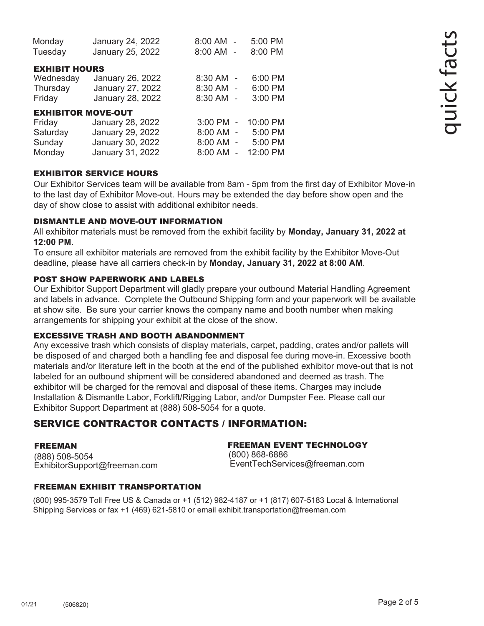| Monday<br>Tuesday                                                   | January 24, 2022<br>January 25, 2022                                         | 8:00 AM -<br>8:00 AM -                             | 5:00 PM<br>8:00 PM                         |
|---------------------------------------------------------------------|------------------------------------------------------------------------------|----------------------------------------------------|--------------------------------------------|
| <b>EXHIBIT HOURS</b><br>Wednesday<br>Thursday<br>Friday             | January 26, 2022<br>January 27, 2022<br>January 28, 2022                     | 8:30 AM -<br>8:30 AM -<br>8:30 AM -                | 6:00 PM<br>6:00 PM<br>3:00 PM              |
| <b>EXHIBITOR MOVE-OUT</b><br>Friday<br>Saturday<br>Sunday<br>Monday | January 28, 2022<br>January 29, 2022<br>January 30, 2022<br>January 31, 2022 | $3:00$ PM $-$<br>8:00 AM -<br>8:00 AM -<br>8:00 AM | 10:00 PM<br>5:00 PM<br>5:00 PM<br>12:00 PM |

# EXHIBITOR SERVICE HOURS

Our Exhibitor Services team will be available from 8am - 5pm from the first day of Exhibitor Move-in to the last day of Exhibitor Move-out. Hours may be extended the day before show open and the day of show close to assist with additional exhibitor needs.

# DISMANTLE AND MOVE-OUT INFORMATION

All exhibitor materials must be removed from the exhibit facility by **Monday, January 31, 2022 at 12:00 PM.** 

To ensure all exhibitor materials are removed from the exhibit facility by the Exhibitor Move-Out deadline, please have all carriers check-in by **Monday, January 31, 2022 at 8:00 AM**.

# POST SHOW PAPERWORK AND LABELS

Our Exhibitor Support Department will gladly prepare your outbound Material Handling Agreement and labels in advance. Complete the Outbound Shipping form and your paperwork will be available at show site. Be sure your carrier knows the company name and booth number when making arrangements for shipping your exhibit at the close of the show.

# EXCESSIVE TRASH AND BOOTH ABANDONMENT

Any excessive trash which consists of display materials, carpet, padding, crates and/or pallets will be disposed of and charged both a handling fee and disposal fee during move-in. Excessive booth materials and/or literature left in the booth at the end of the published exhibitor move-out that is not labeled for an outbound shipment will be considered abandoned and deemed as trash. The exhibitor will be charged for the removal and disposal of these items. Charges may include Installation & Dismantle Labor, Forklift/Rigging Labor, and/or Dumpster Fee. Please call our Exhibitor Support Department at (888) 508-5054 for a quote.

# SERVICE CONTRACTOR CONTACTS / INFORMATION:

# FREEMAN

(888) 508-5054 ExhibitorSupport@freeman.com FREEMAN EVENT TECHNOLOGY (800) 868-6886 EventTechServices@freeman.com

# FREEMAN EXHIBIT TRANSPORTATION

(800) 995-3579 Toll Free US & Canada or +1 (512) 982-4187 or +1 (817) 607-5183 Local & International Shipping Services or fax +1 (469) 621-5810 or email exhibit.transportation@freeman.com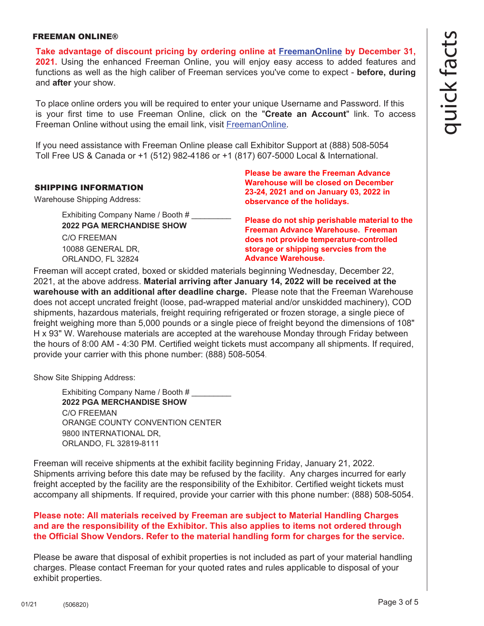#### FREEMAN ONLINE®

**Take advantage of discount pricing by ordering online at [FreemanOnline](https://www.freemanco.com/store?utm_source=Forms&utm_medium=PDF) by December 31, 2021.** Using the enhanced Freeman Online, you will enjoy easy access to added features and functions as well as the high caliber of Freeman services you've come to expect - **before, during** and **after** your show.

To place online orders you will be required to enter your unique Username and Password. If this is your first time to use Freeman Online, click on the "**Create an Account**" link. To access Freeman Online without using the email link, visit [FreemanOnline.](https://www.freemanco.com/store?utm_source=Forms&utm_medium=PDF) 

If you need assistance with Freeman Online please call Exhibitor Support at (888) 508-5054 Toll Free US & Canada or +1 (512) 982-4186 or +1 (817) 607-5000 Local & International.

### SHIPPING INFORMATION

Warehouse Shipping Address:

Exhibiting Company Name / Booth # \_\_\_\_\_\_\_\_\_ **2022 PGA MERCHANDISE SHOW** C/O FREEMAN 10088 GENERAL DR, ORLANDO, FL 32824

**Please be aware the Freeman Advance Warehouse will be closed on December 23-24, 2021 and on January 03, 2022 in observance of the holidays.**

**Please do not ship perishable material to the Freeman Advance Warehouse. Freeman does not provide temperature-controlled storage or shipping servcies from the Advance Warehouse.**

Freeman will accept crated, boxed or skidded materials beginning Wednesday, December 22, 2021, at the above address. **Material arriving after January 14, 2022 will be received at the warehouse with an additional after deadline charge.** Please note that the Freeman Warehouse does not accept uncrated freight (loose, pad-wrapped material and/or unskidded machinery), COD shipments, hazardous materials, freight requiring refrigerated or frozen storage, a single piece of freight weighing more than 5,000 pounds or a single piece of freight beyond the dimensions of 108" H x 93" W. Warehouse materials are accepted at the warehouse Monday through Friday between the hours of 8:00 AM - 4:30 PM. Certified weight tickets must accompany all shipments. If required, provide your carrier with this phone number: (888) 508-5054.

Show Site Shipping Address:

Exhibiting Company Name / Booth # **2022 PGA MERCHANDISE SHOW** C/O FREEMAN ORANGE COUNTY CONVENTION CENTER 9800 INTERNATIONAL DR, ORLANDO, FL 32819-8111

Freeman will receive shipments at the exhibit facility beginning Friday, January 21, 2022. Shipments arriving before this date may be refused by the facility. Any charges incurred for early freight accepted by the facility are the responsibility of the Exhibitor. Certified weight tickets must accompany all shipments. If required, provide your carrier with this phone number: (888) 508-5054.

### **Please note: All materials received by Freeman are subject to Material Handling Charges and are the responsibility of the Exhibitor. This also applies to items not ordered through the Official Show Vendors. Refer to the material handling form for charges for the service.**

Please be aware that disposal of exhibit properties is not included as part of your material handling charges. Please contact Freeman for your quoted rates and rules applicable to disposal of your exhibit properties.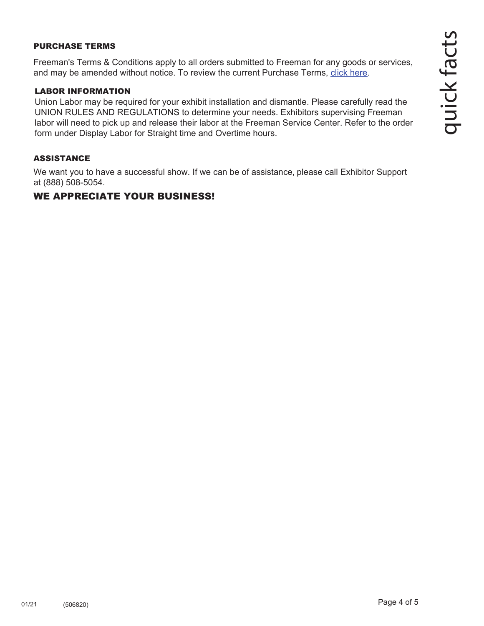### PURCHASE TERMS

Freeman's Terms & Conditions apply to all orders submitted to Freeman for any goods or services, and may be amended without notice. To review the current Purchase Terms, [click here.](https://www.freemanco.com/store/purchase-terms?_ga=2.176437029.1419744130.1584226036-1715307741.1584226036&page=purchaseTerms)

### LABOR INFORMATION

Union Labor may be required for your exhibit installation and dismantle. Please carefully read the UNION RULES AND REGULATIONS to determine your needs. Exhibitors supervising Freeman labor will need to pick up and release their labor at the Freeman Service Center. Refer to the order form under Display Labor for Straight time and Overtime hours.

### ASSISTANCE

We want you to have a successful show. If we can be of assistance, please call Exhibitor Support at (888) 508-5054.

# WE APPRECIATE YOUR BUSINESS!